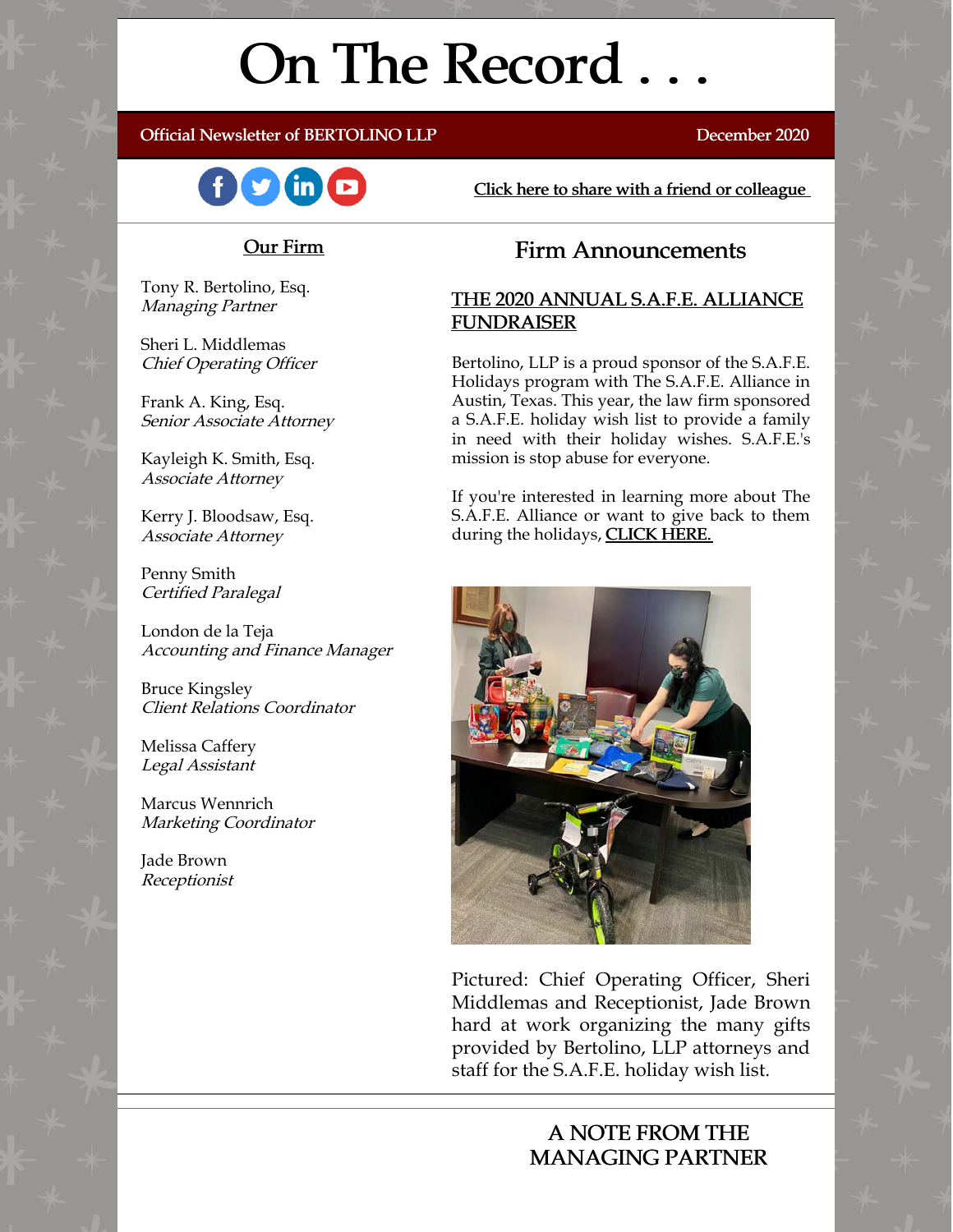# On The Record . . .

#### Official Newsletter of BERTOLINO LLP December 2020



[Click here to share with a friend or colleague](https://visitor.r20.constantcontact.com/manage/optin?v=001xvcZBIZGArRYZxP_ENhTFsnPqgcrAHF_8FAGh0C6OoU_TYzgqPeo9kiI5F5Vb-xdZP7jClYZWX2ttQp6Q7JygJ1sq0DH9MDHJwjzNoREDc4=)

## Our Firm

Tony R. Bertolino, Esq. Managing Partner

Sheri L. Middlemas Chief Operating Officer

Frank A. King, Esq. Senior Associate Attorney

Kayleigh K. Smith, Esq. Associate Attorney

Kerry J. Bloodsaw, Esq. Associate Attorney

Penny Smith Certified Paralegal

London de la Teja Accounting and Finance Manager

Bruce Kingsley Client Relations Coordinator

Melissa Caffery Legal Assistant

Marcus Wennrich Marketing Coordinator

Jade Brown Receptionist

# Firm Announcements

## THE 2020 ANNUAL S.A.F.E. ALLIANCE FUNDRAISER

Bertolino, LLP is a proud sponsor of the S.A.F.E. Holidays program with The S.A.F.E. Alliance in Austin, Texas. This year, the law firm sponsored a S.A.F.E. holiday wish list to provide a family in need with their holiday wishes. S.A.F.E.'s mission is stop abuse for everyone.

If you're interested in learning more about The S.A.F.E. Alliance or want to give back to them during the holidays, **CLICK HERE.** 



Pictured: Chief Operating Officer, Sheri Middlemas and Receptionist, Jade Brown hard at work organizing the many gifts provided by Bertolino, LLP attorneys and staff for the S.A.F.E. holiday wish list.

# A NOTE FROM THE MANAGING PARTNER